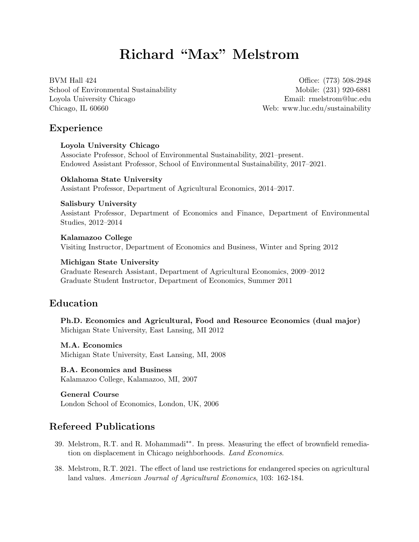# Richard "Max" Melstrom

BVM Hall 424 School of Environmental Sustainability Loyola University Chicago Chicago, IL 60660

Office: (773) 508-2948 Mobile: (231) 920-6881 Email: [rmelstrom@luc.edu](mailto:rmelstrom@luc.edu) Web: [www.luc.edu/sustainability](http://www.luc.edu/sustainability/index.shtml)

# Experience

Loyola University Chicago Associate Professor, School of Environmental Sustainability, 2021–present. Endowed Assistant Professor, School of Environmental Sustainability, 2017–2021.

Oklahoma State University Assistant Professor, Department of Agricultural Economics, 2014–2017.

#### Salisbury University

Assistant Professor, Department of Economics and Finance, Department of Environmental Studies, 2012–2014

Kalamazoo College Visiting Instructor, Department of Economics and Business, Winter and Spring 2012

#### Michigan State University

Graduate Research Assistant, Department of Agricultural Economics, 2009–2012 Graduate Student Instructor, Department of Economics, Summer 2011

# Education

Ph.D. Economics and Agricultural, Food and Resource Economics (dual major) Michigan State University, East Lansing, MI 2012

#### M.A. Economics

Michigan State University, East Lansing, MI, 2008

# B.A. Economics and Business

Kalamazoo College, Kalamazoo, MI, 2007

#### General Course

London School of Economics, London, UK, 2006

# Refereed Publications

- 39. Melstrom, R.T. and R. Mohammadi∗∗. In press. Measuring the effect of brownfield remediation on displacement in Chicago neighborhoods. Land Economics.
- 38. Melstrom, R.T. 2021. The effect of land use restrictions for endangered species on agricultural land values. American Journal of Agricultural Economics, 103: 162-184.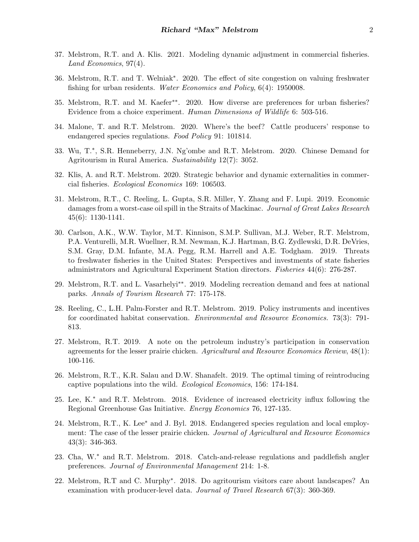- 37. Melstrom, R.T. and A. Klis. 2021. Modeling dynamic adjustment in commercial fisheries. Land Economics, 97(4).
- 36. Melstrom, R.T. and T. Welniak<sup>∗</sup> . 2020. The effect of site congestion on valuing freshwater fishing for urban residents. Water Economics and Policy, 6(4): 1950008.
- 35. Melstrom, R.T. and M. Kaefer∗∗. 2020. How diverse are preferences for urban fisheries? Evidence from a choice experiment. Human Dimensions of Wildlife 6: 503-516.
- 34. Malone, T. and R.T. Melstrom. 2020. Where's the beef? Cattle producers' response to endangered species regulations. Food Policy 91: 101814.
- 33. Wu, T.<sup>∗</sup> , S.R. Henneberry, J.N. Ng'ombe and R.T. Melstrom. 2020. Chinese Demand for Agritourism in Rural America. Sustainability 12(7): 3052.
- 32. Klis, A. and R.T. Melstrom. 2020. Strategic behavior and dynamic externalities in commercial fisheries. Ecological Economics 169: 106503.
- 31. Melstrom, R.T., C. Reeling, L. Gupta, S.R. Miller, Y. Zhang and F. Lupi. 2019. Economic damages from a worst-case oil spill in the Straits of Mackinac. Journal of Great Lakes Research 45(6): 1130-1141.
- 30. Carlson, A.K., W.W. Taylor, M.T. Kinnison, S.M.P. Sullivan, M.J. Weber, R.T. Melstrom, P.A. Venturelli, M.R. Wuellner, R.M. Newman, K.J. Hartman, B.G. Zydlewski, D.R. DeVries, S.M. Gray, D.M. Infante, M.A. Pegg, R.M. Harrell and A.E. Todgham. 2019. Threats to freshwater fisheries in the United States: Perspectives and investments of state fisheries administrators and Agricultural Experiment Station directors. Fisheries 44(6): 276-287.
- 29. Melstrom, R.T. and L. Vasarhelyi∗∗. 2019. Modeling recreation demand and fees at national parks. Annals of Tourism Research 77: 175-178.
- 28. Reeling, C., L.H. Palm-Forster and R.T. Melstrom. 2019. Policy instruments and incentives for coordinated habitat conservation. Environmental and Resource Economics. 73(3): 791- 813.
- 27. Melstrom, R.T. 2019. A note on the petroleum industry's participation in conservation agreements for the lesser prairie chicken. Agricultural and Resource Economics Review,  $48(1)$ : 100-116.
- 26. Melstrom, R.T., K.R. Salau and D.W. Shanafelt. 2019. The optimal timing of reintroducing captive populations into the wild. Ecological Economics, 156: 174-184.
- 25. Lee, K.<sup>∗</sup> and R.T. Melstrom. 2018. Evidence of increased electricity influx following the Regional Greenhouse Gas Initiative. Energy Economics 76, 127-135.
- 24. Melstrom, R.T., K. Lee<sup>∗</sup> and J. Byl. 2018. Endangered species regulation and local employment: The case of the lesser prairie chicken. Journal of Agricultural and Resource Economics 43(3): 346-363.
- 23. Cha, W.<sup>∗</sup> and R.T. Melstrom. 2018. Catch-and-release regulations and paddlefish angler preferences. Journal of Environmental Management 214: 1-8.
- 22. Melstrom, R.T and C. Murphy<sup>∗</sup> . 2018. Do agritourism visitors care about landscapes? An examination with producer-level data. Journal of Travel Research 67(3): 360-369.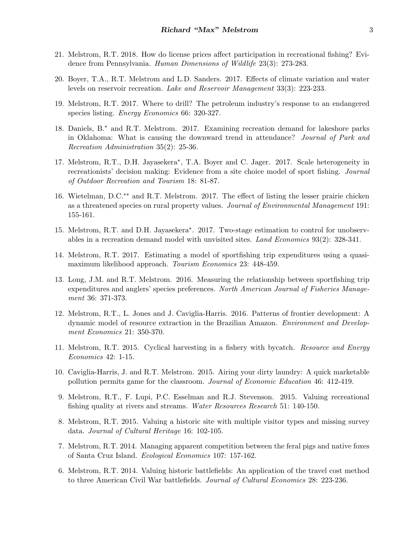- 21. Melstrom, R.T. 2018. How do license prices affect participation in recreational fishing? Evidence from Pennsylvania. Human Dimensions of Wildlife 23(3): 273-283.
- 20. Boyer, T.A., R.T. Melstrom and L.D. Sanders. 2017. Effects of climate variation and water levels on reservoir recreation. Lake and Reservoir Management 33(3): 223-233.
- 19. Melstrom, R.T. 2017. Where to drill? The petroleum industry's response to an endangered species listing. *Energy Economics* 66: 320-327.
- 18. Daniels, B.<sup>∗</sup> and R.T. Melstrom. 2017. Examining recreation demand for lakeshore parks in Oklahoma: What is causing the downward trend in attendance? Journal of Park and Recreation Administration 35(2): 25-36.
- 17. Melstrom, R.T., D.H. Jayasekera<sup>\*</sup>, T.A. Boyer and C. Jager. 2017. Scale heterogeneity in recreationists' decision making: Evidence from a site choice model of sport fishing. Journal of Outdoor Recreation and Tourism 18: 81-87.
- 16. Wietelman, D.C.∗∗ and R.T. Melstrom. 2017. The effect of listing the lesser prairie chicken as a threatened species on rural property values. Journal of Environmental Management 191: 155-161.
- 15. Melstrom, R.T. and D.H. Jayasekera<sup>\*</sup>. 2017. Two-stage estimation to control for unobservables in a recreation demand model with unvisited sites. Land Economics 93(2): 328-341.
- 14. Melstrom, R.T. 2017. Estimating a model of sportfishing trip expenditures using a quasimaximum likelihood approach. Tourism Economics 23: 448-459.
- 13. Long, J.M. and R.T. Melstrom. 2016. Measuring the relationship between sportfishing trip expenditures and anglers' species preferences. North American Journal of Fisheries Management 36: 371-373.
- 12. Melstrom, R.T., L. Jones and J. Caviglia-Harris. 2016. Patterns of frontier development: A dynamic model of resource extraction in the Brazilian Amazon. Environment and Development Economics 21: 350-370.
- 11. Melstrom, R.T. 2015. Cyclical harvesting in a fishery with bycatch. Resource and Energy Economics 42: 1-15.
- 10. Caviglia-Harris, J. and R.T. Melstrom. 2015. Airing your dirty laundry: A quick marketable pollution permits game for the classroom. Journal of Economic Education 46: 412-419.
- 9. Melstrom, R.T., F. Lupi, P.C. Esselman and R.J. Stevenson. 2015. Valuing recreational fishing quality at rivers and streams. Water Resources Research 51: 140-150.
- 8. Melstrom, R.T. 2015. Valuing a historic site with multiple visitor types and missing survey data. Journal of Cultural Heritage 16: 102-105.
- 7. Melstrom, R.T. 2014. Managing apparent competition between the feral pigs and native foxes of Santa Cruz Island. Ecological Economics 107: 157-162.
- 6. Melstrom, R.T. 2014. Valuing historic battlefields: An application of the travel cost method to three American Civil War battlefields. Journal of Cultural Economics 28: 223-236.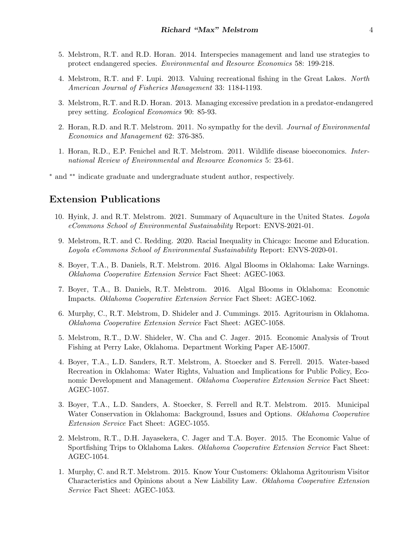- 5. Melstrom, R.T. and R.D. Horan. 2014. Interspecies management and land use strategies to protect endangered species. Environmental and Resource Economics 58: 199-218.
- 4. Melstrom, R.T. and F. Lupi. 2013. Valuing recreational fishing in the Great Lakes. North American Journal of Fisheries Management 33: 1184-1193.
- 3. Melstrom, R.T. and R.D. Horan. 2013. Managing excessive predation in a predator-endangered prey setting. Ecological Economics 90: 85-93.
- 2. Horan, R.D. and R.T. Melstrom. 2011. No sympathy for the devil. Journal of Environmental Economics and Management 62: 376-385.
- 1. Horan, R.D., E.P. Fenichel and R.T. Melstrom. 2011. Wildlife disease bioeconomics. International Review of Environmental and Resource Economics 5: 23-61.

<sup>∗</sup> and ∗∗ indicate graduate and undergraduate student author, respectively.

## Extension Publications

- 10. Hyink, J. and R.T. Melstrom. 2021. Summary of Aquaculture in the United States. Loyola eCommons School of Environmental Sustainability Report: ENVS-2021-01.
- 9. Melstrom, R.T. and C. Redding. 2020. Racial Inequality in Chicago: Income and Education. Loyola eCommons School of Environmental Sustainability Report: ENVS-2020-01.
- 8. Boyer, T.A., B. Daniels, R.T. Melstrom. 2016. Algal Blooms in Oklahoma: Lake Warnings. Oklahoma Cooperative Extension Service Fact Sheet: AGEC-1063.
- 7. Boyer, T.A., B. Daniels, R.T. Melstrom. 2016. Algal Blooms in Oklahoma: Economic Impacts. Oklahoma Cooperative Extension Service Fact Sheet: AGEC-1062.
- 6. Murphy, C., R.T. Melstrom, D. Shideler and J. Cummings. 2015. Agritourism in Oklahoma. Oklahoma Cooperative Extension Service Fact Sheet: AGEC-1058.
- 5. Melstrom, R.T., D.W. Shideler, W. Cha and C. Jager. 2015. Economic Analysis of Trout Fishing at Perry Lake, Oklahoma. Department Working Paper AE-15007.
- 4. Boyer, T.A., L.D. Sanders, R.T. Melstrom, A. Stoecker and S. Ferrell. 2015. Water-based Recreation in Oklahoma: Water Rights, Valuation and Implications for Public Policy, Economic Development and Management. Oklahoma Cooperative Extension Service Fact Sheet: AGEC-1057.
- 3. Boyer, T.A., L.D. Sanders, A. Stoecker, S. Ferrell and R.T. Melstrom. 2015. Municipal Water Conservation in Oklahoma: Background, Issues and Options. Oklahoma Cooperative Extension Service Fact Sheet: AGEC-1055.
- 2. Melstrom, R.T., D.H. Jayasekera, C. Jager and T.A. Boyer. 2015. The Economic Value of Sportfishing Trips to Oklahoma Lakes. Oklahoma Cooperative Extension Service Fact Sheet: AGEC-1054.
- 1. Murphy, C. and R.T. Melstrom. 2015. Know Your Customers: Oklahoma Agritourism Visitor Characteristics and Opinions about a New Liability Law. Oklahoma Cooperative Extension Service Fact Sheet: AGEC-1053.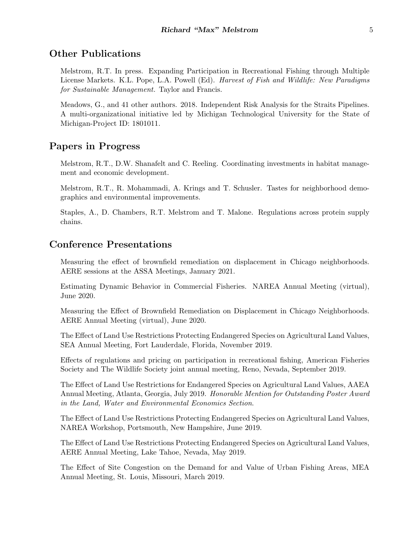# Other Publications

Melstrom, R.T. In press. Expanding Participation in Recreational Fishing through Multiple License Markets. K.L. Pope, L.A. Powell (Ed). Harvest of Fish and Wildlife: New Paradigms for Sustainable Management. Taylor and Francis.

Meadows, G., and 41 other authors. 2018. Independent Risk Analysis for the Straits Pipelines. A multi-organizational initiative led by Michigan Technological University for the State of Michigan-Project ID: 1801011.

### Papers in Progress

Melstrom, R.T., D.W. Shanafelt and C. Reeling. Coordinating investments in habitat management and economic development.

Melstrom, R.T., R. Mohammadi, A. Krings and T. Schusler. Tastes for neighborhood demographics and environmental improvements.

Staples, A., D. Chambers, R.T. Melstrom and T. Malone. Regulations across protein supply chains.

# Conference Presentations

Measuring the effect of brownfield remediation on displacement in Chicago neighborhoods. AERE sessions at the ASSA Meetings, January 2021.

Estimating Dynamic Behavior in Commercial Fisheries. NAREA Annual Meeting (virtual), June 2020.

Measuring the Effect of Brownfield Remediation on Displacement in Chicago Neighborhoods. AERE Annual Meeting (virtual), June 2020.

The Effect of Land Use Restrictions Protecting Endangered Species on Agricultural Land Values, SEA Annual Meeting, Fort Lauderdale, Florida, November 2019.

Effects of regulations and pricing on participation in recreational fishing, American Fisheries Society and The Wildlife Society joint annual meeting, Reno, Nevada, September 2019.

The Effect of Land Use Restrictions for Endangered Species on Agricultural Land Values, AAEA Annual Meeting, Atlanta, Georgia, July 2019. Honorable Mention for Outstanding Poster Award in the Land, Water and Environmental Economics Section.

The Effect of Land Use Restrictions Protecting Endangered Species on Agricultural Land Values, NAREA Workshop, Portsmouth, New Hampshire, June 2019.

The Effect of Land Use Restrictions Protecting Endangered Species on Agricultural Land Values, AERE Annual Meeting, Lake Tahoe, Nevada, May 2019.

The Effect of Site Congestion on the Demand for and Value of Urban Fishing Areas, MEA Annual Meeting, St. Louis, Missouri, March 2019.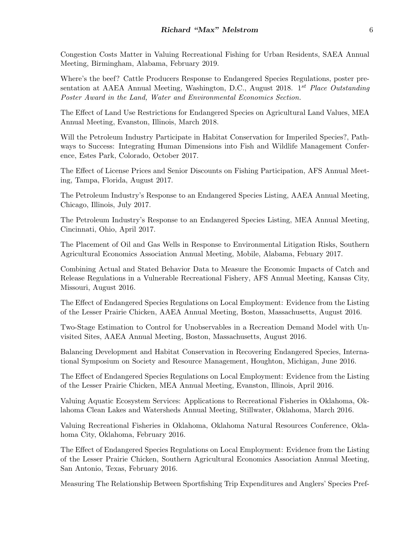Congestion Costs Matter in Valuing Recreational Fishing for Urban Residents, SAEA Annual Meeting, Birmingham, Alabama, February 2019.

Where's the beef? Cattle Producers Response to Endangered Species Regulations, poster presentation at AAEA Annual Meeting, Washington, D.C., August 2018. 1<sup>st</sup> Place Outstanding Poster Award in the Land, Water and Environmental Economics Section.

The Effect of Land Use Restrictions for Endangered Species on Agricultural Land Values, MEA Annual Meeting, Evanston, Illinois, March 2018.

Will the Petroleum Industry Participate in Habitat Conservation for Imperiled Species?, Pathways to Success: Integrating Human Dimensions into Fish and Wildlife Management Conference, Estes Park, Colorado, October 2017.

The Effect of License Prices and Senior Discounts on Fishing Participation, AFS Annual Meeting, Tampa, Florida, August 2017.

The Petroleum Industry's Response to an Endangered Species Listing, AAEA Annual Meeting, Chicago, Illinois, July 2017.

The Petroleum Industry's Response to an Endangered Species Listing, MEA Annual Meeting, Cincinnati, Ohio, April 2017.

The Placement of Oil and Gas Wells in Response to Environmental Litigation Risks, Southern Agricultural Economics Association Annual Meeting, Mobile, Alabama, Febuary 2017.

Combining Actual and Stated Behavior Data to Measure the Economic Impacts of Catch and Release Regulations in a Vulnerable Recreational Fishery, AFS Annual Meeting, Kansas City, Missouri, August 2016.

The Effect of Endangered Species Regulations on Local Employment: Evidence from the Listing of the Lesser Prairie Chicken, AAEA Annual Meeting, Boston, Massachusetts, August 2016.

Two-Stage Estimation to Control for Unobservables in a Recreation Demand Model with Unvisited Sites, AAEA Annual Meeting, Boston, Massachusetts, August 2016.

Balancing Development and Habitat Conservation in Recovering Endangered Species, International Symposium on Society and Resource Management, Houghton, Michigan, June 2016.

The Effect of Endangered Species Regulations on Local Employment: Evidence from the Listing of the Lesser Prairie Chicken, MEA Annual Meeting, Evanston, Illinois, April 2016.

Valuing Aquatic Ecosystem Services: Applications to Recreational Fisheries in Oklahoma, Oklahoma Clean Lakes and Watersheds Annual Meeting, Stillwater, Oklahoma, March 2016.

Valuing Recreational Fisheries in Oklahoma, Oklahoma Natural Resources Conference, Oklahoma City, Oklahoma, February 2016.

The Effect of Endangered Species Regulations on Local Employment: Evidence from the Listing of the Lesser Prairie Chicken, Southern Agricultural Economics Association Annual Meeting, San Antonio, Texas, February 2016.

Measuring The Relationship Between Sportfishing Trip Expenditures and Anglers' Species Pref-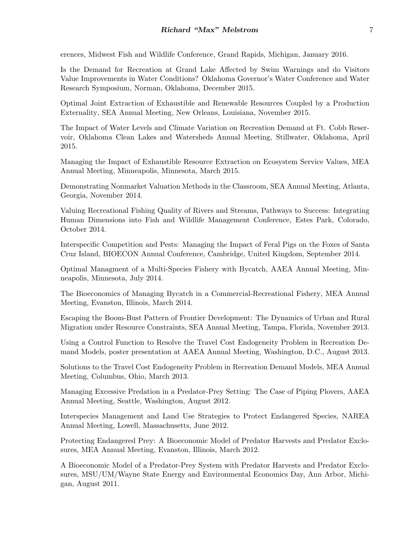erences, Midwest Fish and Wildlife Conference, Grand Rapids, Michigan, January 2016.

Is the Demand for Recreation at Grand Lake Affected by Swim Warnings and do Visitors Value Improvements in Water Conditions? Oklahoma Governor's Water Conference and Water Research Symposium, Norman, Oklahoma, December 2015.

Optimal Joint Extraction of Exhaustible and Renewable Resources Coupled by a Production Externality, SEA Annual Meeting, New Orleans, Louisiana, November 2015.

The Impact of Water Levels and Climate Variation on Recreation Demand at Ft. Cobb Reservoir, Oklahoma Clean Lakes and Watersheds Annual Meeting, Stillwater, Oklahoma, April 2015.

Managing the Impact of Exhaustible Resource Extraction on Ecosystem Service Values, MEA Annual Meeting, Minneapolis, Minnesota, March 2015.

Demonstrating Nonmarket Valuation Methods in the Classroom, SEA Annual Meeting, Atlanta, Georgia, November 2014.

Valuing Recreational Fishing Quality of Rivers and Streams, Pathways to Success: Integrating Human Dimensions into Fish and Wildlife Management Conference, Estes Park, Colorado, October 2014.

Interspecific Competition and Pests: Managing the Impact of Feral Pigs on the Foxes of Santa Cruz Island, BIOECON Annual Conference, Cambridge, United Kingdom, September 2014.

Optimal Managment of a Multi-Species Fishery with Bycatch, AAEA Annual Meeting, Minneapolis, Minnesota, July 2014.

The Bioeconomics of Managing Bycatch in a Commercial-Recreational Fishery, MEA Annual Meeting, Evanston, Illinois, March 2014.

Escaping the Boom-Bust Pattern of Frontier Development: The Dynamics of Urban and Rural Migration under Resource Constraints, SEA Annual Meeting, Tampa, Florida, November 2013.

Using a Control Function to Resolve the Travel Cost Endogeneity Problem in Recreation Demand Models, poster presentation at AAEA Annual Meeting, Washington, D.C., August 2013.

Solutions to the Travel Cost Endogeneity Problem in Recreation Demand Models, MEA Annual Meeting, Columbus, Ohio, March 2013.

Managing Excessive Predation in a Predator-Prey Setting: The Case of Piping Plovers, AAEA Annual Meeting, Seattle, Washington, August 2012.

Interspecies Management and Land Use Strategies to Protect Endangered Species, NAREA Annual Meeting, Lowell, Massachusetts, June 2012.

Protecting Endangered Prey: A Bioeconomic Model of Predator Harvests and Predator Exclosures, MEA Annual Meeting, Evanston, Illinois, March 2012.

A Bioeconomic Model of a Predator-Prey System with Predator Harvests and Predator Exclosures, MSU/UM/Wayne State Energy and Environmental Economics Day, Ann Arbor, Michigan, August 2011.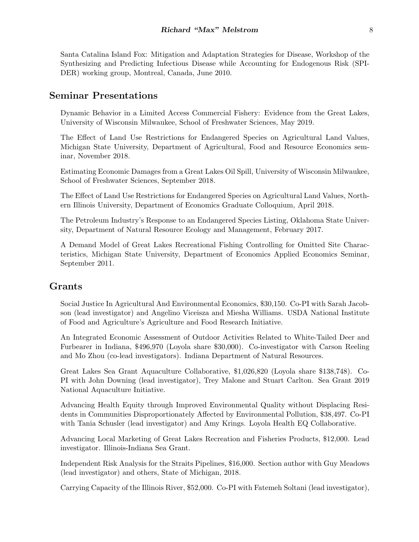Santa Catalina Island Fox: Mitigation and Adaptation Strategies for Disease, Workshop of the Synthesizing and Predicting Infectious Disease while Accounting for Endogenous Risk (SPI-DER) working group, Montreal, Canada, June 2010.

### Seminar Presentations

Dynamic Behavior in a Limited Access Commercial Fishery: Evidence from the Great Lakes, University of Wisconsin Milwaukee, School of Freshwater Sciences, May 2019.

The Effect of Land Use Restrictions for Endangered Species on Agricultural Land Values, Michigan State University, Department of Agricultural, Food and Resource Economics seminar, November 2018.

Estimating Economic Damages from a Great Lakes Oil Spill, University of Wisconsin Milwaukee, School of Freshwater Sciences, September 2018.

The Effect of Land Use Restrictions for Endangered Species on Agricultural Land Values, Northern Illinois University, Department of Economics Graduate Colloquium, April 2018.

The Petroleum Industry's Response to an Endangered Species Listing, Oklahoma State University, Department of Natural Resource Ecology and Management, February 2017.

A Demand Model of Great Lakes Recreational Fishing Controlling for Omitted Site Characteristics, Michigan State University, Department of Economics Applied Economics Seminar, September 2011.

### Grants

Social Justice In Agricultural And Environmental Economics, \$30,150. Co-PI with Sarah Jacobson (lead investigator) and Angelino Viceisza and Miesha Williams. USDA National Institute of Food and Agriculture's Agriculture and Food Research Initiative.

An Integrated Economic Assessment of Outdoor Activities Related to White-Tailed Deer and Furbearer in Indiana, \$496,970 (Loyola share \$30,000). Co-investigator with Carson Reeling and Mo Zhou (co-lead investigators). Indiana Department of Natural Resources.

Great Lakes Sea Grant Aquaculture Collaborative, \$1,026,820 (Loyola share \$138,748). Co-PI with John Downing (lead investigator), Trey Malone and Stuart Carlton. Sea Grant 2019 National Aquaculture Initiative.

Advancing Health Equity through Improved Environmental Quality without Displacing Residents in Communities Disproportionately Affected by Environmental Pollution, \$38,497. Co-PI with Tania Schusler (lead investigator) and Amy Krings. Loyola Health EQ Collaborative.

Advancing Local Marketing of Great Lakes Recreation and Fisheries Products, \$12,000. Lead investigator. Illinois-Indiana Sea Grant.

Independent Risk Analysis for the Straits Pipelines, \$16,000. Section author with Guy Meadows (lead investigator) and others, State of Michigan, 2018.

Carrying Capacity of the Illinois River, \$52,000. Co-PI with Fatemeh Soltani (lead investigator),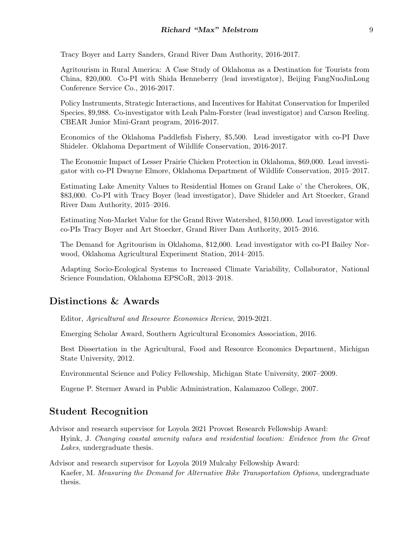Tracy Boyer and Larry Sanders, Grand River Dam Authority, 2016-2017.

Agritourism in Rural America: A Case Study of Oklahoma as a Destination for Tourists from China, \$20,000. Co-PI with Shida Henneberry (lead investigator), Beijing FangNuoJinLong Conference Service Co., 2016-2017.

Policy Instruments, Strategic Interactions, and Incentives for Habitat Conservation for Imperiled Species, \$9,988. Co-investigator with Leah Palm-Forster (lead investigator) and Carson Reeling. CBEAR Junior Mini-Grant program, 2016-2017.

Economics of the Oklahoma Paddlefish Fishery, \$5,500. Lead investigator with co-PI Dave Shideler. Oklahoma Department of Wildlife Conservation, 2016-2017.

The Economic Impact of Lesser Prairie Chicken Protection in Oklahoma, \$69,000. Lead investigator with co-PI Dwayne Elmore, Oklahoma Department of Wildlife Conservation, 2015–2017.

Estimating Lake Amenity Values to Residential Homes on Grand Lake o' the Cherokees, OK, \$83,000. Co-PI with Tracy Boyer (lead investigator), Dave Shideler and Art Stoecker, Grand River Dam Authority, 2015–2016.

Estimating Non-Market Value for the Grand River Watershed, \$150,000. Lead investigator with co-PIs Tracy Boyer and Art Stoecker, Grand River Dam Authority, 2015–2016.

The Demand for Agritourism in Oklahoma, \$12,000. Lead investigator with co-PI Bailey Norwood, Oklahoma Agricultural Experiment Station, 2014–2015.

Adapting Socio-Ecological Systems to Increased Climate Variability, Collaborator, National Science Foundation, Oklahoma EPSCoR, 2013–2018.

# Distinctions & Awards

Editor, Agricultural and Resource Economics Review, 2019-2021.

Emerging Scholar Award, Southern Agricultural Economics Association, 2016.

Best Dissertation in the Agricultural, Food and Resource Economics Department, Michigan State University, 2012.

Environmental Science and Policy Fellowship, Michigan State University, 2007–2009.

Eugene P. Stermer Award in Public Administration, Kalamazoo College, 2007.

# Student Recognition

- Advisor and research supervisor for Loyola 2021 Provost Research Fellowship Award: Hyink, J. Changing coastal amenity values and residential location: Evidence from the Great Lakes, undergraduate thesis.
- Advisor and research supervisor for Loyola 2019 Mulcahy Fellowship Award: Kaefer, M. Measuring the Demand for Alternative Bike Transportation Options, undergraduate thesis.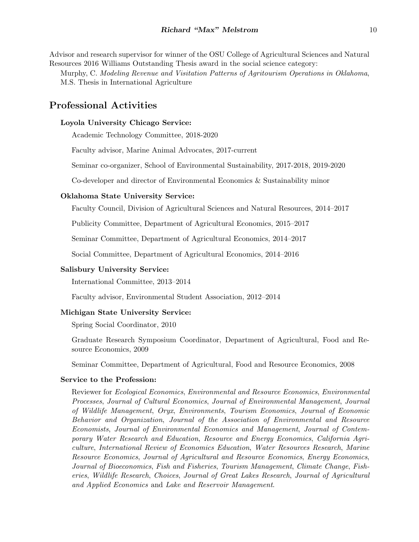Advisor and research supervisor for winner of the OSU College of Agricultural Sciences and Natural Resources 2016 Williams Outstanding Thesis award in the social science category:

Murphy, C. Modeling Revenue and Visitation Patterns of Agritourism Operations in Oklahoma, M.S. Thesis in International Agriculture

# Professional Activities

#### Loyola University Chicago Service:

Academic Technology Committee, 2018-2020

Faculty advisor, Marine Animal Advocates, 2017-current

Seminar co-organizer, School of Environmental Sustainability, 2017-2018, 2019-2020

Co-developer and director of Environmental Economics & Sustainability minor

#### Oklahoma State University Service:

Faculty Council, Division of Agricultural Sciences and Natural Resources, 2014–2017

Publicity Committee, Department of Agricultural Economics, 2015–2017

Seminar Committee, Department of Agricultural Economics, 2014–2017

Social Committee, Department of Agricultural Economics, 2014–2016

#### Salisbury University Service:

International Committee, 2013–2014

Faculty advisor, Environmental Student Association, 2012–2014

#### Michigan State University Service:

Spring Social Coordinator, 2010

Graduate Research Symposium Coordinator, Department of Agricultural, Food and Resource Economics, 2009

Seminar Committee, Department of Agricultural, Food and Resource Economics, 2008

#### Service to the Profession:

Reviewer for Ecological Economics, Environmental and Resource Economics, Environmental Processes, Journal of Cultural Economics, Journal of Environmental Management, Journal of Wildlife Management, Oryx, Environments, Tourism Economics, Journal of Economic Behavior and Organization, Journal of the Association of Environmental and Resource Economists, Journal of Environmental Economics and Management, Journal of Contemporary Water Research and Education, Resource and Energy Economics, California Agriculture, International Review of Economics Education, Water Resources Research, Marine Resource Economics, Journal of Agricultural and Resource Economics, Energy Economics, Journal of Bioeconomics, Fish and Fisheries, Tourism Management, Climate Change, Fisheries, Wildlife Research, Choices, Journal of Great Lakes Research, Journal of Agricultural and Applied Economics and Lake and Reservoir Management.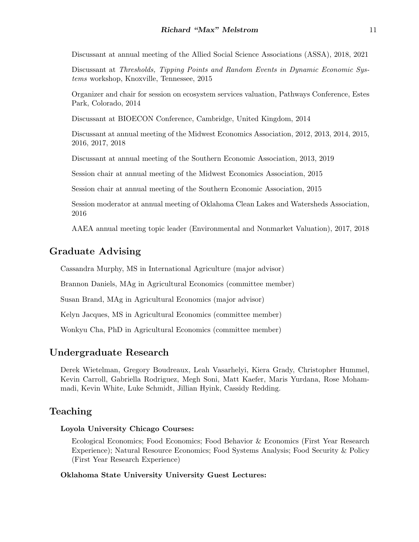Discussant at annual meeting of the Allied Social Science Associations (ASSA), 2018, 2021

Discussant at Thresholds, Tipping Points and Random Events in Dynamic Economic Systems workshop, Knoxville, Tennessee, 2015

Organizer and chair for session on ecosystem services valuation, Pathways Conference, Estes Park, Colorado, 2014

Discussant at BIOECON Conference, Cambridge, United Kingdom, 2014

Discussant at annual meeting of the Midwest Economics Association, 2012, 2013, 2014, 2015, 2016, 2017, 2018

Discussant at annual meeting of the Southern Economic Association, 2013, 2019

Session chair at annual meeting of the Midwest Economics Association, 2015

Session chair at annual meeting of the Southern Economic Association, 2015

Session moderator at annual meeting of Oklahoma Clean Lakes and Watersheds Association, 2016

AAEA annual meeting topic leader (Environmental and Nonmarket Valuation), 2017, 2018

### Graduate Advising

Cassandra Murphy, MS in International Agriculture (major advisor)

Brannon Daniels, MAg in Agricultural Economics (committee member)

Susan Brand, MAg in Agricultural Economics (major advisor)

Kelyn Jacques, MS in Agricultural Economics (committee member)

Wonkyu Cha, PhD in Agricultural Economics (committee member)

#### Undergraduate Research

Derek Wietelman, Gregory Boudreaux, Leah Vasarhelyi, Kiera Grady, Christopher Hummel, Kevin Carroll, Gabriella Rodriguez, Megh Soni, Matt Kaefer, Maris Yurdana, Rose Mohammadi, Kevin White, Luke Schmidt, Jillian Hyink, Cassidy Redding.

## Teaching

#### Loyola University Chicago Courses:

Ecological Economics; Food Economics; Food Behavior & Economics (First Year Research Experience); Natural Resource Economics; Food Systems Analysis; Food Security & Policy (First Year Research Experience)

#### Oklahoma State University University Guest Lectures: